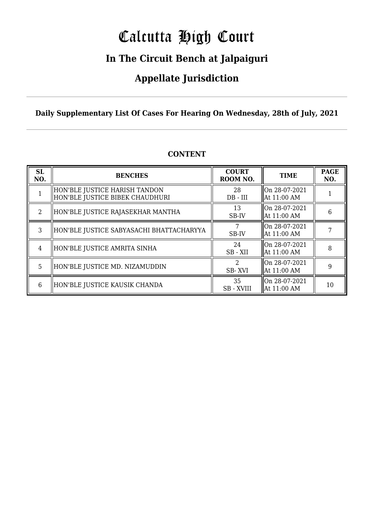# Calcutta High Court

### **In The Circuit Bench at Jalpaiguri**

### **Appellate Jurisdiction**

**Daily Supplementary List Of Cases For Hearing On Wednesday, 28th of July, 2021**

| <b>SL</b><br>NO.            | <b>BENCHES</b>                                                   | <b>COURT</b><br>ROOM NO. | <b>TIME</b>                    | <b>PAGE</b><br>NO. |
|-----------------------------|------------------------------------------------------------------|--------------------------|--------------------------------|--------------------|
|                             | HON'BLE JUSTICE HARISH TANDON<br>HON'BLE JUSTICE BIBEK CHAUDHURI | 28<br>$DB - III$         | On 28-07-2021<br>At 11:00 AM   |                    |
| $\mathcal{D}_{\mathcal{L}}$ | HON'BLE JUSTICE RAJASEKHAR MANTHA                                | 13<br>SB-IV              | On 28-07-2021<br>At 11:00 AM   | 6                  |
| 3                           | HON'BLE JUSTICE SABYASACHI BHATTACHARYYA                         | SB-IV                    | On 28-07-2021<br>  At 11:00 AM |                    |
| 4                           | HON'BLE JUSTICE AMRITA SINHA                                     | 24<br>SB - XII           | On 28-07-2021<br>  At 11:00 AM | 8                  |
| 5                           | HON'BLE JUSTICE MD. NIZAMUDDIN                                   | $\mathcal{L}$<br>SB-XVI  | On 28-07-2021<br>  At 11:00 AM | 9                  |
| 6                           | HON'BLE JUSTICE KAUSIK CHANDA                                    | 35<br><b>SB-XVIII</b>    | On 28-07-2021<br>  At 11:00 AM | 10                 |

### **CONTENT**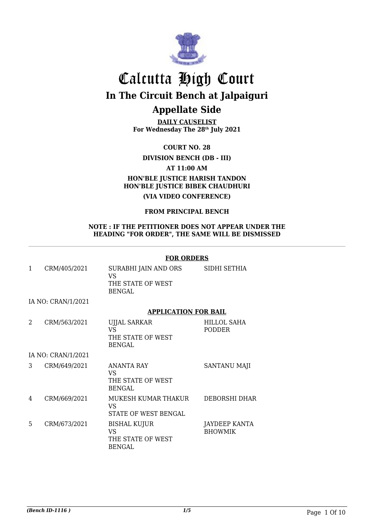

**DAILY CAUSELIST For Wednesday The 28th July 2021**

**COURT NO. 28**

**DIVISION BENCH (DB - III)**

**AT 11:00 AM**

### **HON'BLE JUSTICE HARISH TANDON HON'BLE JUSTICE BIBEK CHAUDHURI (VIA VIDEO CONFERENCE)**

### **FROM PRINCIPAL BENCH**

#### **NOTE : IF THE PETITIONER DOES NOT APPEAR UNDER THE HEADING "FOR ORDER", THE SAME WILL BE DISMISSED**

#### **FOR ORDERS**

|   | CRM/405/2021       | SURABHI JAIN AND ORS<br>VS<br>THE STATE OF WEST<br><b>BENGAL</b> | SIDHI SETHIA          |
|---|--------------------|------------------------------------------------------------------|-----------------------|
|   | IA NO: CRAN/1/2021 |                                                                  |                       |
|   |                    | <b>APPLICATION FOR BAIL</b>                                      |                       |
| 2 | CRM/563/2021       | <b>UJJAL SARKAR</b><br>VS<br>THE STATE OF WEST<br><b>BENGAL</b>  | HILLOL SAHA<br>PODDER |

IA NO: CRAN/1/2021

| 3 | CRM/649/2021 | ANANTA RAY<br>VS<br>THE STATE OF WEST<br>BENGAL          | <b>SANTANU MAJI</b>             |
|---|--------------|----------------------------------------------------------|---------------------------------|
| 4 | CRM/669/2021 | MUKESH KUMAR THAKUR<br>VS<br>STATE OF WEST BENGAL        | DEBORSHI DHAR                   |
| 5 | CRM/673/2021 | BISHAL KUJUR<br>VS<br>THE STATE OF WEST<br><b>BENGAL</b> | JAYDEEP KANTA<br><b>BHOWMIK</b> |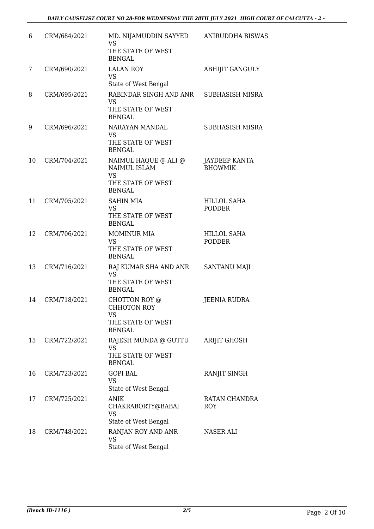| 6  | CRM/684/2021 | MD. NIJAMUDDIN SAYYED<br><b>VS</b><br>THE STATE OF WEST<br><b>BENGAL</b>                | <b>ANIRUDDHA BISWAS</b>             |
|----|--------------|-----------------------------------------------------------------------------------------|-------------------------------------|
| 7  | CRM/690/2021 | <b>LALAN ROY</b><br><b>VS</b><br>State of West Bengal                                   | <b>ABHIJIT GANGULY</b>              |
| 8  | CRM/695/2021 | RABINDAR SINGH AND ANR<br><b>VS</b><br>THE STATE OF WEST<br><b>BENGAL</b>               | SUBHASISH MISRA                     |
| 9  | CRM/696/2021 | NARAYAN MANDAL<br><b>VS</b><br>THE STATE OF WEST<br><b>BENGAL</b>                       | SUBHASISH MISRA                     |
| 10 | CRM/704/2021 | NAIMUL HAQUE @ ALI @<br>NAIMUL ISLAM<br><b>VS</b><br>THE STATE OF WEST<br><b>BENGAL</b> | JAYDEEP KANTA<br><b>BHOWMIK</b>     |
| 11 | CRM/705/2021 | <b>SAHIN MIA</b><br><b>VS</b><br>THE STATE OF WEST<br><b>BENGAL</b>                     | <b>HILLOL SAHA</b><br><b>PODDER</b> |
| 12 | CRM/706/2021 | <b>MOMINUR MIA</b><br><b>VS</b><br>THE STATE OF WEST<br><b>BENGAL</b>                   | <b>HILLOL SAHA</b><br><b>PODDER</b> |
| 13 | CRM/716/2021 | RAJ KUMAR SHA AND ANR<br><b>VS</b><br>THE STATE OF WEST<br><b>BENGAL</b>                | SANTANU MAJI                        |
| 14 | CRM/718/2021 | CHOTTON ROY @<br><b>CHHOTON ROY</b><br><b>VS</b><br>THE STATE OF WEST<br><b>BENGAL</b>  | <b>JEENIA RUDRA</b>                 |
| 15 | CRM/722/2021 | RAJESH MUNDA @ GUTTU<br><b>VS</b><br>THE STATE OF WEST<br><b>BENGAL</b>                 | <b>ARIJIT GHOSH</b>                 |
| 16 | CRM/723/2021 | <b>GOPI BAL</b><br><b>VS</b><br>State of West Bengal                                    | RANJIT SINGH                        |
| 17 | CRM/725/2021 | <b>ANIK</b><br>CHAKRABORTY@BABAI<br><b>VS</b><br>State of West Bengal                   | RATAN CHANDRA<br><b>ROY</b>         |
| 18 | CRM/748/2021 | RANJAN ROY AND ANR<br><b>VS</b><br>State of West Bengal                                 | NASER ALI                           |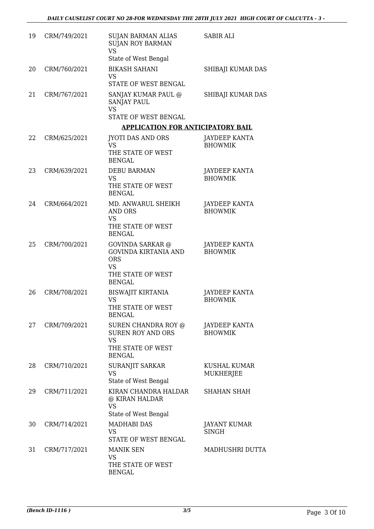| 19 | CRM/749/2021 | <b>SUJAN BARMAN ALIAS</b><br><b>SUJAN ROY BARMAN</b><br><b>VS</b><br>State of West Bengal                               | <b>SABIR ALI</b>                       |
|----|--------------|-------------------------------------------------------------------------------------------------------------------------|----------------------------------------|
| 20 | CRM/760/2021 | <b>BIKASH SAHANI</b><br><b>VS</b>                                                                                       | SHIBAJI KUMAR DAS                      |
|    |              | STATE OF WEST BENGAL                                                                                                    |                                        |
| 21 | CRM/767/2021 | SANJAY KUMAR PAUL @<br>SANJAY PAUL<br><b>VS</b><br>STATE OF WEST BENGAL                                                 | SHIBAJI KUMAR DAS                      |
|    |              | <b>APPLICATION FOR ANTICIPATORY BAIL</b>                                                                                |                                        |
| 22 | CRM/625/2021 | JYOTI DAS AND ORS<br><b>VS</b><br>THE STATE OF WEST<br><b>BENGAL</b>                                                    | <b>JAYDEEP KANTA</b><br><b>BHOWMIK</b> |
| 23 | CRM/639/2021 | <b>DEBU BARMAN</b><br><b>VS</b><br>THE STATE OF WEST<br><b>BENGAL</b>                                                   | JAYDEEP KANTA<br><b>BHOWMIK</b>        |
| 24 | CRM/664/2021 | MD. ANWARUL SHEIKH<br><b>AND ORS</b><br><b>VS</b><br>THE STATE OF WEST<br><b>BENGAL</b>                                 | <b>JAYDEEP KANTA</b><br><b>BHOWMIK</b> |
| 25 | CRM/700/2021 | <b>GOVINDA SARKAR</b> @<br><b>GOVINDA KIRTANIA AND</b><br><b>ORS</b><br><b>VS</b><br>THE STATE OF WEST<br><b>BENGAL</b> | JAYDEEP KANTA<br><b>BHOWMIK</b>        |
| 26 | CRM/708/2021 | <b>BISWAJIT KIRTANIA</b><br>VS<br>THE STATE OF WEST<br><b>BENGAL</b>                                                    | JAYDEEP KANTA<br><b>BHOWMIK</b>        |
| 27 | CRM/709/2021 | SUREN CHANDRA ROY @<br><b>SUREN ROY AND ORS</b><br><b>VS</b><br>THE STATE OF WEST<br><b>BENGAL</b>                      | JAYDEEP KANTA<br><b>BHOWMIK</b>        |
| 28 | CRM/710/2021 | SURANJIT SARKAR<br><b>VS</b><br>State of West Bengal                                                                    | KUSHAL KUMAR<br>MUKHERJEE              |
| 29 | CRM/711/2021 | KIRAN CHANDRA HALDAR<br>@ KIRAN HALDAR<br><b>VS</b><br>State of West Bengal                                             | <b>SHAHAN SHAH</b>                     |
| 30 | CRM/714/2021 | <b>MADHABI DAS</b><br><b>VS</b><br>STATE OF WEST BENGAL                                                                 | JAYANT KUMAR<br><b>SINGH</b>           |
| 31 | CRM/717/2021 | <b>MANIK SEN</b><br><b>VS</b><br>THE STATE OF WEST<br><b>BENGAL</b>                                                     | MADHUSHRI DUTTA                        |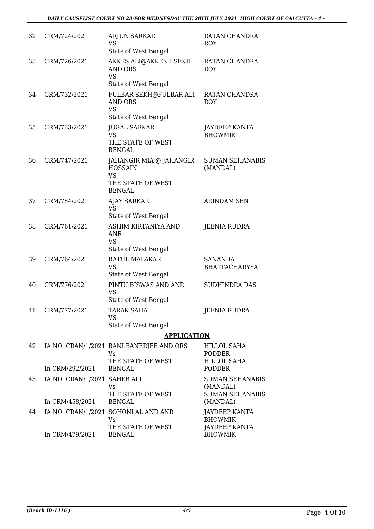| 32 | CRM/724/2021                                    | <b>ARJUN SARKAR</b><br><b>VS</b><br>State of West Bengal                                     | RATAN CHANDRA<br><b>ROY</b>                                              |
|----|-------------------------------------------------|----------------------------------------------------------------------------------------------|--------------------------------------------------------------------------|
| 33 | CRM/726/2021                                    | AKKES ALI@AKKESH SEKH<br><b>AND ORS</b><br><b>VS</b><br>State of West Bengal                 | RATAN CHANDRA<br><b>ROY</b>                                              |
| 34 | CRM/732/2021                                    | FULBAR SEKH@FULBAR ALI<br>AND ORS<br><b>VS</b><br>State of West Bengal                       | RATAN CHANDRA<br><b>ROY</b>                                              |
| 35 | CRM/733/2021                                    | <b>JUGAL SARKAR</b><br><b>VS</b><br>THE STATE OF WEST<br><b>BENGAL</b>                       | <b>JAYDEEP KANTA</b><br><b>BHOWMIK</b>                                   |
| 36 | CRM/747/2021                                    | JAHANGIR MIA @ JAHANGIR<br><b>HOSSAIN</b><br><b>VS</b><br>THE STATE OF WEST<br><b>BENGAL</b> | <b>SUMAN SEHANABIS</b><br>(MANDAL)                                       |
| 37 | CRM/754/2021                                    | <b>AJAY SARKAR</b><br><b>VS</b><br>State of West Bengal                                      | <b>ARINDAM SEN</b>                                                       |
| 38 | CRM/761/2021                                    | ASHIM KIRTANIYA AND<br>ANR<br>VS<br>State of West Bengal                                     | <b>JEENIA RUDRA</b>                                                      |
| 39 | CRM/764/2021                                    | <b>RATUL MALAKAR</b><br><b>VS</b><br>State of West Bengal                                    | <b>SANANDA</b><br><b>BHATTACHARYYA</b>                                   |
| 40 | CRM/776/2021                                    | PINTU BISWAS AND ANR<br><b>VS</b><br>State of West Bengal                                    | <b>SUDHINDRA DAS</b>                                                     |
| 41 | CRM/777/2021                                    | TARAK SAHA<br><b>VS</b><br>State of West Bengal                                              | <b>JEENIA RUDRA</b>                                                      |
|    |                                                 | <b>APPLICATION</b>                                                                           |                                                                          |
| 42 |                                                 | IA NO. CRAN/1/2021 BANI BANERJEE AND ORS<br>Vs<br>THE STATE OF WEST                          | HILLOL SAHA<br>PODDER<br>HILLOL SAHA                                     |
|    | In CRM/292/2021                                 | <b>BENGAL</b>                                                                                | <b>PODDER</b>                                                            |
| 43 | IA NO. CRAN/1/2021 SAHEB ALI<br>In CRM/458/2021 | Vs<br>THE STATE OF WEST<br><b>BENGAL</b>                                                     | <b>SUMAN SEHANABIS</b><br>(MANDAL)<br><b>SUMAN SEHANABIS</b><br>(MANDAL) |
| 44 |                                                 | IA NO. CRAN/1/2021 SOHONLAL AND ANR<br><b>Vs</b><br>THE STATE OF WEST                        | <b>JAYDEEP KANTA</b><br><b>BHOWMIK</b><br><b>JAYDEEP KANTA</b>           |
|    | In CRM/479/2021                                 | <b>BENGAL</b>                                                                                | <b>BHOWMIK</b>                                                           |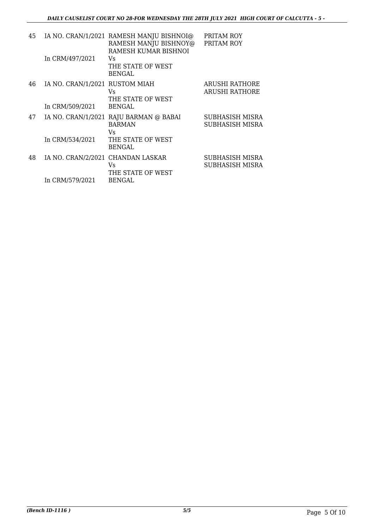| 45 | In CRM/497/2021                                   | IA NO. CRAN/1/2021 RAMESH MANJU BISHNOI@<br>RAMESH MANJU BISHNOY@<br>RAMESH KUMAR BISHNOI<br>Vs | PRITAM ROY<br>PRITAM ROY                |
|----|---------------------------------------------------|-------------------------------------------------------------------------------------------------|-----------------------------------------|
|    |                                                   | THE STATE OF WEST<br><b>BENGAL</b>                                                              |                                         |
| 46 | IA NO. CRAN/1/2021 RUSTOM MIAH<br>In CRM/509/2021 | Vs<br>THE STATE OF WEST<br><b>BENGAL</b>                                                        | ARUSHI RATHORE<br><b>ARUSHI RATHORE</b> |
| 47 |                                                   | IA NO. CRAN/1/2021 RAJU BARMAN @ BABAI<br><b>BARMAN</b><br>Vs                                   | SUBHASISH MISRA<br>SUBHASISH MISRA      |
|    | In CRM/534/2021                                   | THE STATE OF WEST<br><b>BENGAL</b>                                                              |                                         |
| 48 | IA NO. CRAN/2/2021 CHANDAN LASKAR                 | Vs<br>THE STATE OF WEST                                                                         | SUBHASISH MISRA<br>SUBHASISH MISRA      |
|    | In CRM/579/2021                                   | <b>BENGAL</b>                                                                                   |                                         |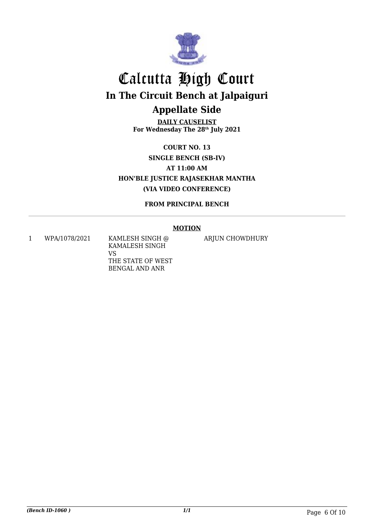

**DAILY CAUSELIST For Wednesday The 28th July 2021**

**COURT NO. 13 SINGLE BENCH (SB-IV) AT 11:00 AM HON'BLE JUSTICE RAJASEKHAR MANTHA (VIA VIDEO CONFERENCE)**

**FROM PRINCIPAL BENCH**

### **MOTION**

1 WPA/1078/2021 KAMLESH SINGH @ KAMALESH SINGH VS THE STATE OF WEST BENGAL AND ANR

ARJUN CHOWDHURY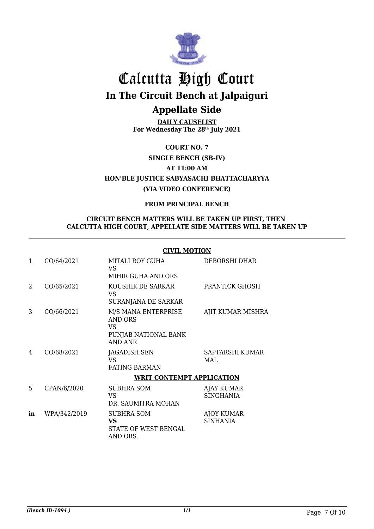

**DAILY CAUSELIST For Wednesday The 28th July 2021**

**COURT NO. 7**

**SINGLE BENCH (SB-IV)**

**AT 11:00 AM**

**HON'BLE JUSTICE SABYASACHI BHATTACHARYYA (VIA VIDEO CONFERENCE)**

### **FROM PRINCIPAL BENCH**

### **CIRCUIT BENCH MATTERS WILL BE TAKEN UP FIRST, THEN CALCUTTA HIGH COURT, APPELLATE SIDE MATTERS WILL BE TAKEN UP**

#### **CIVIL MOTION**

| 1  | CO/64/2021   | <b>MITALI ROY GUHA</b><br>VS.<br>MIHIR GUHA AND ORS                             | DEBORSHI DHAR                        |
|----|--------------|---------------------------------------------------------------------------------|--------------------------------------|
| 2  | CO/65/2021   | KOUSHIK DE SARKAR<br>VS.<br>SURANJANA DE SARKAR                                 | PRANTICK GHOSH                       |
| 3  | CO/66/2021   | M/S MANA ENTERPRISE<br><b>AND ORS</b><br>VS.<br>PUNJAB NATIONAL BANK<br>AND ANR | AJIT KUMAR MISHRA                    |
| 4  | CO/68/2021   | JAGADISH SEN<br>VS.<br><b>FATING BARMAN</b>                                     | SAPTARSHI KUMAR<br>MAL               |
|    |              | <b>WRIT CONTEMPT APPLICATION</b>                                                |                                      |
| 5  | CPAN/6/2020  | SUBHRA SOM<br>VS.<br>DR. SAUMITRA MOHAN                                         | AJAY KUMAR<br><b>SINGHANIA</b>       |
| in | WPA/342/2019 | SUBHRA SOM<br><b>VS</b><br>STATE OF WEST BENGAL<br>AND ORS.                     | <b>AJOY KUMAR</b><br><b>SINHANIA</b> |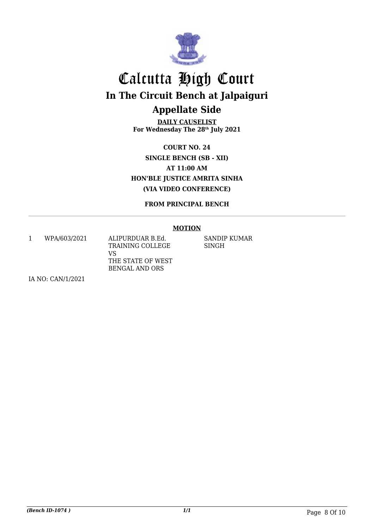

**DAILY CAUSELIST For Wednesday The 28th July 2021**

**COURT NO. 24 SINGLE BENCH (SB - XII) AT 11:00 AM HON'BLE JUSTICE AMRITA SINHA (VIA VIDEO CONFERENCE)**

**FROM PRINCIPAL BENCH**

#### **MOTION**

1 WPA/603/2021 ALIPURDUAR B.Ed. VS

TRAINING COLLEGE THE STATE OF WEST BENGAL AND ORS

SANDIP KUMAR SINGH

IA NO: CAN/1/2021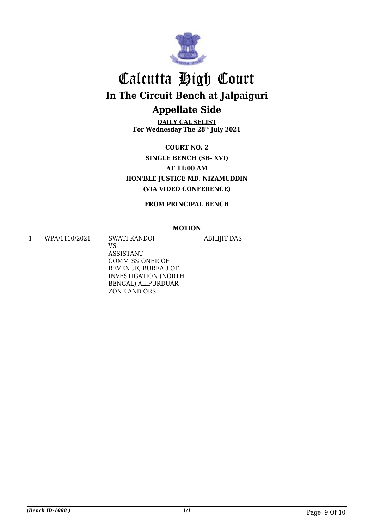

**DAILY CAUSELIST For Wednesday The 28th July 2021**

**COURT NO. 2 SINGLE BENCH (SB- XVI) AT 11:00 AM HON'BLE JUSTICE MD. NIZAMUDDIN (VIA VIDEO CONFERENCE)**

**FROM PRINCIPAL BENCH**

#### **MOTION**

ABHIJIT DAS

1 WPA/1110/2021 SWATI KANDOI

VS ASSISTANT COMMISSIONER OF REVENUE, BUREAU OF INVESTIGATION (NORTH BENGAL),ALIPURDUAR ZONE AND ORS